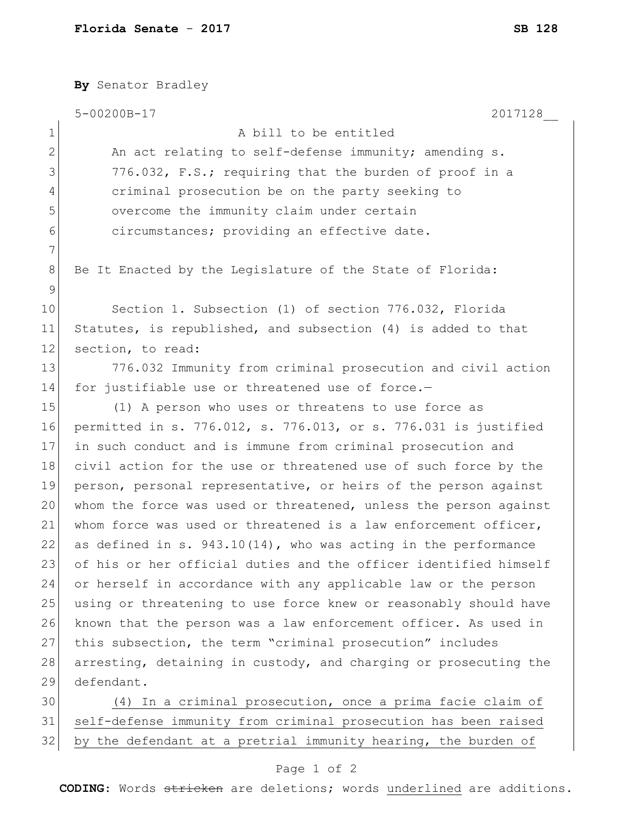|              | By Senator Bradley                                                |
|--------------|-------------------------------------------------------------------|
|              | $5 - 00200B - 17$<br>2017128                                      |
| $\mathbf 1$  | A bill to be entitled                                             |
| $\mathbf{2}$ | An act relating to self-defense immunity; amending s.             |
| 3            | 776.032, F.S.; requiring that the burden of proof in a            |
| 4            | criminal prosecution be on the party seeking to                   |
| 5            | overcome the immunity claim under certain                         |
| 6            | circumstances; providing an effective date.                       |
| 7            |                                                                   |
| 8            | Be It Enacted by the Legislature of the State of Florida:         |
| 9            |                                                                   |
| 10           | Section 1. Subsection (1) of section 776.032, Florida             |
| 11           | Statutes, is republished, and subsection (4) is added to that     |
| 12           | section, to read:                                                 |
| 13           | 776.032 Immunity from criminal prosecution and civil action       |
| 14           | for justifiable use or threatened use of force.-                  |
| 15           | (1) A person who uses or threatens to use force as                |
| 16           | permitted in s. 776.012, s. 776.013, or s. 776.031 is justified   |
| 17           | in such conduct and is immune from criminal prosecution and       |
| 18           | civil action for the use or threatened use of such force by the   |
| 19           | person, personal representative, or heirs of the person against   |
| 20           | whom the force was used or threatened, unless the person against  |
| 21           | whom force was used or threatened is a law enforcement officer,   |
| 22           | as defined in s. $943.10(14)$ , who was acting in the performance |
| 23           | of his or her official duties and the officer identified himself  |
| 24           | or herself in accordance with any applicable law or the person    |
| 25           | using or threatening to use force knew or reasonably should have  |
| 26           | known that the person was a law enforcement officer. As used in   |
| 27           | this subsection, the term "criminal prosecution" includes         |
| 28           | arresting, detaining in custody, and charging or prosecuting the  |
| 29           | defendant.                                                        |
| 30           | (4) In a criminal prosecution, once a prima facie claim of        |
| 31           | self-defense immunity from criminal prosecution has been raised   |
| 32           | by the defendant at a pretrial immunity hearing, the burden of    |

## Page 1 of 2

**CODING**: Words stricken are deletions; words underlined are additions.